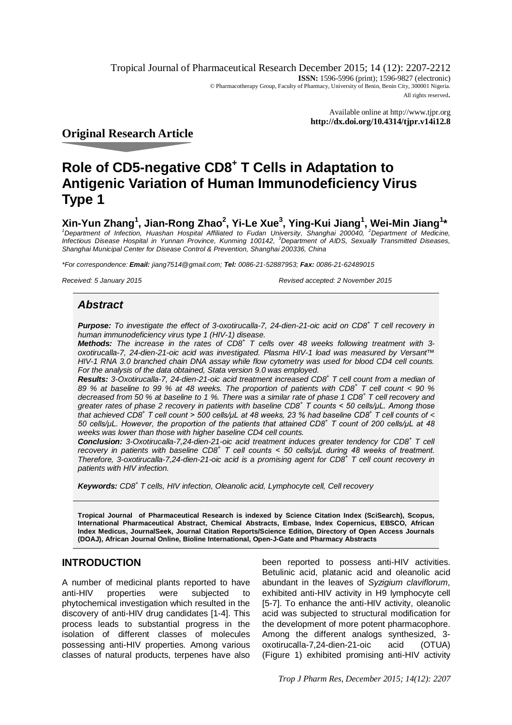Tropical Journal of Pharmaceutical Research December 2015; 14 (12): 2207-2212 **ISSN:** 1596-5996 (print); 1596-9827 (electronic) © Pharmacotherapy Group, Faculty of Pharmacy, University of Benin, Benin City, 300001 Nigeria. All rights reserved.

> Available online at <http://www.tjpr.org> **<http://dx.doi.org/10.4314/tjpr.v14i12.8>**

**Original Research Article**

# **Role of CD5-negative CD8<sup>+</sup> T Cells in Adaptation to Antigenic Variation of Human Immunodeficiency Virus Type 1**

## **Xin-Yun Zhang<sup>1</sup> , Jian-Rong Zhao<sup>2</sup> , Yi-Le Xue<sup>3</sup> , Ying-Kui Jiang<sup>1</sup> , Wei-Min Jiang<sup>1</sup> \***

<sup>1</sup>*Department of Infection, Huashan Hospital Affiliated to Fudan University, Shanghai 200040, <sup>2</sup>Department of Medicine, Infectious Disease Hospital in Yunnan Province, Kunming 100142, <sup>3</sup>Department of AIDS, Sexually Transmitted Diseases, Shanghai Municipal Center for Disease Control & Prevention, Shanghai 200336, China*

*\*For correspondence: Email: [jiang7514@gmail.com;](mailto:jiang7514@gmail.com;) Tel: 0086-21-52887953; Fax: 0086-21-62489015*

*Received: 5 January 2015 Revised accepted: 2 November 2015*

## *Abstract*

*Purpose: To investigate the effect of 3-oxotirucalla-7, 24-dien-21-oic acid on CD8<sup>+</sup> T cell recovery in human immunodeficiency virus type 1 (HIV-1) disease.* 

*Methods: The increase in the rates of CD8<sup>+</sup> T cells over 48 weeks following treatment with 3 oxotirucalla-7, 24-dien-21-oic acid was investigated. Plasma HIV-1 load was measured by Versant™ HIV-1 RNA 3.0 branched chain DNA assay while flow cytometry was used for blood CD4 cell counts. For the analysis of the data obtained, Stata version 9.0 was employed.*

*Results: 3-Oxotirucalla-7, 24-dien-21-oic acid treatment increased CD8<sup>+</sup> T cell count from a median of 89 % at baseline to 99 % at 48 weeks. The proportion of patients with CD8<sup>+</sup> T cell count < 90 % decreased from 50 % at baseline to 1 %. There was a similar rate of phase 1 CD8<sup>+</sup> T cell recovery and greater rates of phase 2 recovery in patients with baseline CD8<sup>+</sup> T counts < 50 cells/μL. Among those that achieved CD8<sup>+</sup> T cell count > 500 cells/μL at 48 weeks, 23 % had baseline CD8<sup>+</sup> T cell counts of < 50 cells/μL. However, the proportion of the patients that attained CD8<sup>+</sup> T count of 200 cells/μL at 48 weeks was lower than those with higher baseline CD4 cell counts.*

*Conclusion: 3-Oxotirucalla-7,24-dien-21-oic acid treatment induces greater tendency for CD8<sup>+</sup> T cell recovery in patients with baseline CD8<sup>+</sup> T cell counts < 50 cells/μL during 48 weeks of treatment. Therefore, 3-oxotirucalla-7,24-dien-21-oic acid is a promising agent for CD8<sup>+</sup> T cell count recovery in patients with HIV infection.*

*Keywords: CD8<sup>+</sup> T cells, HIV infection, Oleanolic acid, Lymphocyte cell, Cell recovery*

**Tropical Journal of Pharmaceutical Research is indexed by Science Citation Index (SciSearch), Scopus, International Pharmaceutical Abstract, Chemical Abstracts, Embase, Index Copernicus, EBSCO, African Index Medicus, JournalSeek, Journal Citation Reports/Science Edition, Directory of Open Access Journals (DOAJ), African Journal Online, Bioline International, Open-J-Gate and Pharmacy Abstracts**

## **INTRODUCTION**

A number of medicinal plants reported to have anti-HIV properties were subjected to phytochemical investigation which resulted in the discovery of anti-HIV drug candidates [1-4]. This process leads to substantial progress in the isolation of different classes of molecules possessing anti-HIV properties. Among various classes of natural products, terpenes have also

been reported to possess anti-HIV activities. Betulinic acid, platanic acid and oleanolic acid abundant in the leaves of *Syzigium claviflorum*, exhibited anti-HIV activity in H9 lymphocyte cell [5-7]. To enhance the anti-HIV activity, oleanolic acid was subjected to structural modification for the development of more potent pharmacophore. Among the different analogs synthesized, 3 oxotirucalla-7,24-dien-21-oic acid (OTUA) (Figure 1) exhibited promising anti-HIV activity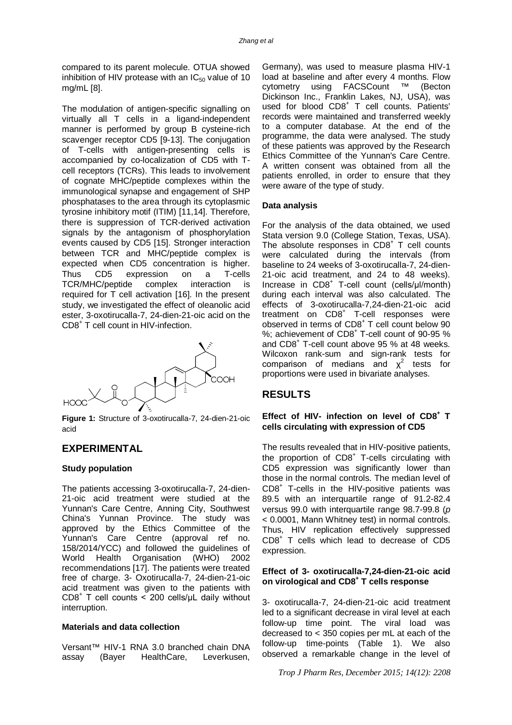compared to its parent molecule. OTUA showed inhibition of HIV protease with an  $IC_{50}$  value of 10 mg/mL [8].

The modulation of antigen-specific signalling on virtually all T cells in a ligand-independent manner is performed by group B cysteine-rich scavenger receptor CD5 [9-13]. The conjugation of T-cells with antigen-presenting cells is accompanied by co-localization of CD5 with Tcell receptors (TCRs). This leads to involvement of cognate MHC/peptide complexes within the immunological synapse and engagement of SHP phosphatases to the area through its cytoplasmic tyrosine inhibitory motif (ITIM) [11,14]. Therefore, there is suppression of TCR-derived activation signals by the antagonism of phosphorylation events caused by CD5 [15]. Stronger interaction between TCR and MHC/peptide complex is expected when CD5 concentration is higher. Thus CD5 expression on a T-cells TCR/MHC/peptide complex interaction is required for T cell activation [16]. In the present study, we investigated the effect of oleanolic acid ester, 3-oxotirucalla-7, 24-dien-21-oic acid on the CD8<sup>+</sup> T cell count in HIV-infection.



**Figure 1:** Structure of 3-oxotirucalla-7, 24-dien-21-oic acid

## **EXPERIMENTAL**

#### **Study population**

The patients accessing 3-oxotirucalla-7, 24-dien-21-oic acid treatment were studied at the Yunnan's Care Centre, Anning City, Southwest China's Yunnan Province. The study was approved by the Ethics Committee of the Yunnan's Care Centre (approval ref no. 158/2014/YCC) and followed the guidelines of World Health Organisation (WHO) 2002 recommendations [17]. The patients were treated free of charge. 3- Oxotirucalla-7, 24-dien-21-oic acid treatment was given to the patients with  $CDB^+$  T cell counts < 200 cells/ $\mu$ L daily without interruption.

#### **Materials and data collection**

Versant™ HIV-1 RNA 3.0 branched chain DNA assay (Bayer HealthCare, Leverkusen,

Germany), was used to measure plasma HIV-1 load at baseline and after every 4 months. Flow cytometry using FACSCount ™ (Becton Dickinson Inc., Franklin Lakes, NJ, USA), was used for blood CD8<sup>+</sup> T cell counts. Patients' records were maintained and transferred weekly to a computer database. At the end of the programme, the data were analysed. The study of these patients was approved by the Research Ethics Committee of the Yunnan's Care Centre. A written consent was obtained from all the patients enrolled, in order to ensure that they were aware of the type of study.

#### **Data analysis**

For the analysis of the data obtained, we used Stata version 9.0 (College Station, Texas, USA). The absolute responses in  $CDB<sup>+</sup>$  T cell counts were calculated during the intervals (from baseline to 24 weeks of 3-oxotirucalla-7, 24-dien-21-oic acid treatment, and 24 to 48 weeks). Increase in CD8<sup>+</sup> T-cell count (cells/µl/month) during each interval was also calculated. The effects of 3-oxotirucalla-7,24-dien-21-oic acid treatment on CD8<sup>+</sup> T-cell responses were observed in terms of CD8<sup>+</sup> T cell count below 90 %; achievement of CD8<sup>+</sup> T-cell count of 90-95 % and CD8<sup>+</sup> T-cell count above 95 % at 48 weeks. Wilcoxon rank-sum and sign-rank tests for comparison of medians and  $x^2$  tests for proportions were used in bivariate analyses.

## **RESULTS**

#### **Effect of HIV- infection on level of CD8<sup>+</sup> T cells circulating with expression of CD5**

The results revealed that in HIV-positive patients, the proportion of CD8<sup>+</sup> T-cells circulating with CD5 expression was significantly lower than those in the normal controls. The median level of CD8<sup>+</sup> T-cells in the HIV-positive patients was 89.5 with an interquartile range of 91.2-82.4 versus 99.0 with interquartile range 98.7-99.8 (*p* < 0.0001, Mann Whitney test) in normal controls. Thus, HIV replication effectively suppressed CD8<sup>+</sup> T cells which lead to decrease of CD5 expression.

#### **Effect of 3- oxotirucalla-7,24-dien-21-oic acid on virological and CD8<sup>+</sup> T cells response**

3- oxotirucalla-7, 24-dien-21-oic acid treatment led to a significant decrease in viral level at each follow-up time point. The viral load was decreased to < 350 copies per mL at each of the follow-up time-points (Table 1). We also observed a remarkable change in the level of

*Trop J Pharm Res, December 2015; 14(12): 2208*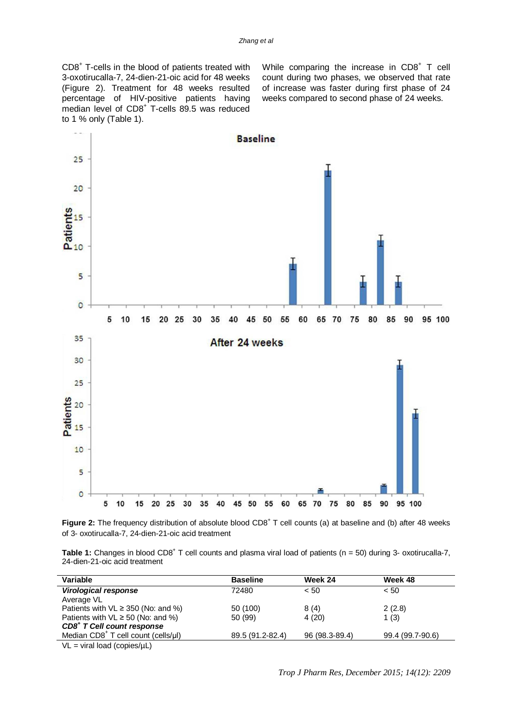CD8<sup>+</sup> T-cells in the blood of patients treated with 3-oxotirucalla-7, 24-dien-21-oic acid for 48 weeks (Figure 2). Treatment for 48 weeks resulted percentage of HIV-positive patients having median level of CD8<sup>+</sup> T-cells 89.5 was reduced to 1 % only (Table 1).

While comparing the increase in  $CDB<sup>+</sup> T$  cell count during two phases, we observed that rate of increase was faster during first phase of 24 weeks compared to second phase of 24 weeks.



Figure 2: The frequency distribution of absolute blood CD8<sup>+</sup> T cell counts (a) at baseline and (b) after 48 weeks of 3- oxotirucalla-7, 24-dien-21-oic acid treatment

Table 1: Changes in blood CD8<sup>+</sup> T cell counts and plasma viral load of patients (n = 50) during 3- oxotirucalla-7, 24-dien-21-oic acid treatment

| Variable                                  | <b>Baseline</b>  | Week 24        | Week 48          |  |
|-------------------------------------------|------------------|----------------|------------------|--|
| <b>Virological response</b>               | 72480            | < 50           | < 50             |  |
| Average VL                                |                  |                |                  |  |
| Patients with $VL \geq 350$ (No: and %)   | 50 (100)         | 8(4)           | 2(2.8)           |  |
| Patients with $VL \ge 50$ (No: and %)     | 50 (99)          | 4(20)          | 1(3)             |  |
| CD8 <sup>+</sup> T Cell count response    |                  |                |                  |  |
| Median $CD8+$ T cell count (cells/µl)     | 89.5 (91.2-82.4) | 96 (98.3-89.4) | 99.4 (99.7-90.6) |  |
| $\mathcal{M}$ $\mathcal{M}$ $\mathcal{M}$ |                  |                |                  |  |

 $VL = viral load (copies/µL)$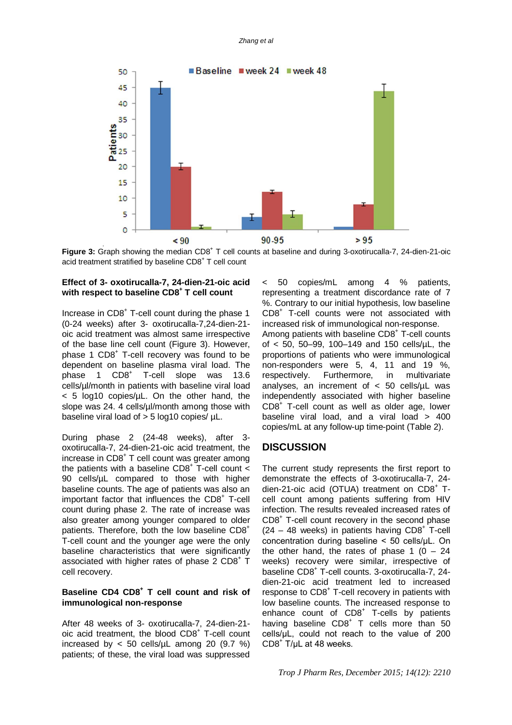

Figure 3: Graph showing the median CD8<sup>+</sup> T cell counts at baseline and during 3-oxotirucalla-7, 24-dien-21-oic acid treatment stratified by baseline CD8<sup>+</sup> T cell count

#### **Effect of 3- oxotirucalla-7, 24-dien-21-oic acid with respect to baseline CD8<sup>+</sup> T cell count**

Increase in CD8<sup>+</sup> T-cell count during the phase 1 (0-24 weeks) after 3- oxotirucalla-7,24-dien-21 oic acid treatment was almost same irrespective of the base line cell count (Figure 3). However, phase 1 CD8<sup>+</sup> T-cell recovery was found to be dependent on baseline plasma viral load. The phase 1 CD8<sup>+</sup> T-cell slope was 13.6 cells/µl/month in patients with baseline viral load  $<$  5 log10 copies/ $\mu$ L. On the other hand, the slope was 24. 4 cells/ul/month among those with baseline viral load of > 5 log10 copies/ µL.

During phase 2 (24-48 weeks), after 3 oxotirucalla-7, 24-dien-21-oic acid treatment, the increase in CD8<sup>+</sup> T cell count was greater among the patients with a baseline  $CDB<sup>+</sup>$  T-cell count  $\lt$ 90 cells/µL compared to those with higher baseline counts. The age of patients was also an important factor that influences the CD8<sup>+</sup> T-cell count during phase 2. The rate of increase was also greater among younger compared to older patients. Therefore, both the low baseline CD8<sup>+</sup> T-cell count and the younger age were the only baseline characteristics that were significantly associated with higher rates of phase 2  $CD8^+$  T cell recovery.

#### **Baseline CD4 CD8<sup>+</sup> T cell count and risk of immunological non-response**

After 48 weeks of 3- oxotirucalla-7, 24-dien-21 oic acid treatment, the blood CD8<sup>+</sup> T-cell count increased by  $< 50$  cells/ $\mu$ L among 20 (9.7 %) patients; of these, the viral load was suppressed

< 50 copies/mL among 4 % patients, representing a treatment discordance rate of 7 %. Contrary to our initial hypothesis, low baseline CD8<sup>+</sup> T-cell counts were not associated with increased risk of immunological non-response. Among patients with baseline CD8<sup>+</sup> T-cell counts of < 50, 50–99, 100–149 and 150 cells/µL, the proportions of patients who were immunological

non-responders were 5, 4, 11 and 19 %,<br>respectively. Furthermore, in multivariate respectively. Furthermore, in analyses, an increment of  $<$  50 cells/ $\mu$ L was independently associated with higher baseline CD8<sup>+</sup> T-cell count as well as older age, lower baseline viral load, and a viral load > 400 copies/mL at any follow-up time-point (Table 2).

## **DISCUSSION**

The current study represents the first report to demonstrate the effects of 3-oxotirucalla-7, 24 dien-21-oic acid (OTUA) treatment on CD8<sup>+</sup> Tcell count among patients suffering from HIV infection. The results revealed increased rates of CD8<sup>+</sup> T-cell count recovery in the second phase  $(24 - 48$  weeks) in patients having CD8<sup>+</sup> T-cell concentration during baseline < 50 cells/μL. On the other hand, the rates of phase  $1$  (0 – 24 weeks) recovery were similar, irrespective of baseline CD8<sup>+</sup> T-cell counts. 3-oxotirucalla-7, 24 dien-21-oic acid treatment led to increased response to CD8<sup>+</sup> T-cell recovery in patients with low baseline counts. The increased response to enhance count of CD8<sup>+</sup> T-cells by patients having baseline CD8<sup>+</sup> T cells more than 50 cells/μL, could not reach to the value of 200  $CD8^+$  T/µL at 48 weeks.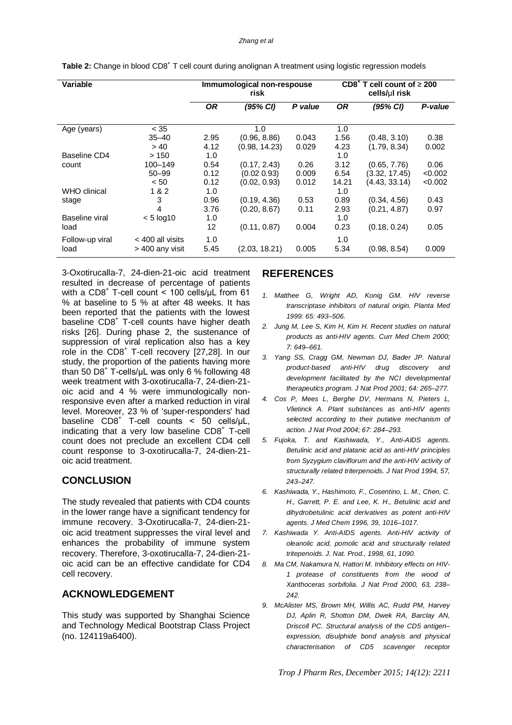#### *Zhang et al*

| Variable        |                    | Immumological non-respouse<br>risk |               | $CD8+$<br>cell count of $\geq 200$<br>т<br>cells/ul risk |           |               |         |
|-----------------|--------------------|------------------------------------|---------------|----------------------------------------------------------|-----------|---------------|---------|
|                 |                    | 0R                                 | (95% CI)      | P value                                                  | <b>OR</b> | (95% CI)      | P-value |
| Age (years)     | < 35               |                                    | 1.0           |                                                          | 1.0       |               |         |
|                 | $35 - 40$          | 2.95                               | (0.96, 8.86)  | 0.043                                                    | 1.56      | (0.48, 3.10)  | 0.38    |
|                 | > 40               | 4.12                               | (0.98, 14.23) | 0.029                                                    | 4.23      | (1.79, 8.34)  | 0.002   |
| Baseline CD4    | >150               | 1.0                                |               |                                                          | 1.0       |               |         |
| count           | 100-149            | 0.54                               | (0.17, 2.43)  | 0.26                                                     | 3.12      | (0.65, 7.76)  | 0.06    |
|                 | $50 - 99$          | 0.12                               | (0.02 0.93)   | 0.009                                                    | 6.54      | (3.32, 17.45) | < 0.002 |
|                 | < 50               | 0.12                               | (0.02, 0.93)  | 0.012                                                    | 14.21     | (4.43, 33.14) | < 0.002 |
| WHO clinical    | 1 & 2              | 1.0                                |               |                                                          | 1.0       |               |         |
| stage           | 3                  | 0.96                               | (0.19, 4.36)  | 0.53                                                     | 0.89      | (0.34, 4.56)  | 0.43    |
|                 | 4                  | 3.76                               | (0.20, 8.67)  | 0.11                                                     | 2.93      | (0.21, 4.87)  | 0.97    |
| Baseline viral  | $< 5$ log10        | 1.0                                |               |                                                          | 1.0       |               |         |
| load            |                    | 12                                 | (0.11, 0.87)  | 0.004                                                    | 0.23      | (0.18, 0.24)  | 0.05    |
| Follow-up viral | $<$ 400 all visits | 1.0                                |               |                                                          | 1.0       |               |         |
| load            | > 400 any visit    | 5.45                               | (2.03, 18.21) | 0.005                                                    | 5.34      | (0.98, 8.54)  | 0.009   |

Table 2: Change in blood CD8<sup>+</sup> T cell count during anolignan A treatment using logistic regression models

3-Oxotirucalla-7, 24-dien-21-oic acid treatment resulted in decrease of percentage of patients with a CD8<sup>+</sup> T-cell count < 100 cells/uL from 61 % at baseline to 5 % at after 48 weeks. It has been reported that the patients with the lowest baseline CD8<sup>+</sup> T-cell counts have higher death risks [26]. During phase 2, the sustenance of suppression of viral replication also has a key role in the CD8<sup>+</sup> T-cell recovery [27,28]. In our study, the proportion of the patients having more than 50 D8 $^+$  T-cells/µL was only 6 % following 48 week treatment with 3-oxotirucalla-7, 24-dien-21 oic acid and 4 % were immunologically nonresponsive even after a marked reduction in viral level. Moreover, 23 % of 'super-responders' had baseline  $CDB^+$  T-cell counts < 50 cells/ $\mu$ L, indicating that a very low baseline CD8<sup>+</sup> T-cell count does not preclude an excellent CD4 cell count response to 3-oxotirucalla-7, 24-dien-21 oic acid treatment.

### **CONCLUSION**

The study revealed that patients with CD4 counts in the lower range have a significant tendency for immune recovery. 3-Oxotirucalla-7, 24-dien-21 oic acid treatment suppresses the viral level and enhances the probability of immune system recovery. Therefore, 3-oxotirucalla-7, 24-dien-21 oic acid can be an effective candidate for CD4 cell recovery.

### **ACKNOWLEDGEMENT**

This study was supported by Shanghai Science and Technology Medical Bootstrap Class Project (no. 124119a6400).

## **REFERENCES**

- *1. Matthee G, Wright AD, Konig GM. HIV reverse transcriptase inhibitors of natural origin. Planta Med 1999: 65: 493–506.*
- *2. Jung M, Lee S, Kim H, Kim H. Recent studies on natural products as anti-HIV agents. Curr Med Chem 2000; 7: 649–661.*
- *3. Yang SS, Cragg GM, Newman DJ, Bader JP. Natural product-based anti-HIV drug discovery and development facilitated by the NCI developmental therapeutics program. J Nat Prod 2001; 64: 265–277.*
- *4. Cos P, Mees L, Berghe DV, Hermans N, Pieters L, Vlietinck A. Plant substances as anti-HIV agents selected according to their putative mechanism of action. J Nat Prod 2004; 67: 284–293.*
- *5. Fujoka, T. and Kashiwada, Y., Anti-AIDS agents. Betulinic acid and platanic acid as anti-HIV principles from Syzygium claviflorum and the anti-HIV activity of structurally related triterpenoids. J Nat Prod 1994, 57, 243–247.*
- *6. Kashiwada, Y., Hashimoto, F., Cosentino, L. M., Chen, C. H., Garrett, P. E. and Lee, K. H., Betulinic acid and dihydrobetulinic acid derivatives as potent anti-HIV agents. J Med Chem 1996, 39, 1016–1017.*
- *7. Kashiwada Y. Anti-AIDS agents. Anti-HIV activity of oleanolic acid, pomolic acid and structurally related tritepenoids. J. Nat. Prod., 1998, 61, 1090.*
- *8. Ma CM, Nakamura N, Hattori M. Inhibitory effects on HIV-1 protease of constituents from the wood of Xanthoceras sorbifolia. J Nat Prod 2000, 63, 238– 242.*
- *9. McAlister MS, Brown MH, Willis AC, Rudd PM, Harvey DJ, Aplin R, Shotton DM, Dwek RA, Barclay AN, Driscoll PC. Structural analysis of the CD5 antigen– expression, disulphide bond analysis and physical characterisation of CD5 scavenger receptor*

*Trop J Pharm Res, December 2015; 14(12): 2211*